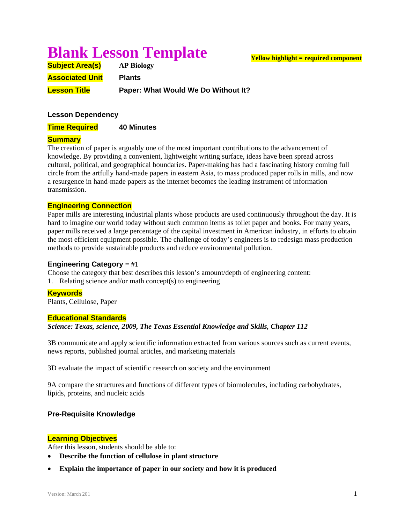# **Blank Lesson Template**

| <b>Subject Area(s)</b> | <b>AP Biology</b>                   |
|------------------------|-------------------------------------|
| <b>Associated Unit</b> | <b>Plants</b>                       |
| <b>Lesson Title</b>    | Paper: What Would We Do Without It? |

# **Lesson Dependency**

**Time Required 40 Minutes** 

# **Summary**

The creation of paper is arguably one of the most important contributions to the advancement of knowledge. By providing a convenient, lightweight writing surface, ideas have been spread across cultural, political, and geographical boundaries. Paper-making has had a fascinating history coming full circle from the artfully hand-made papers in eastern Asia, to mass produced paper rolls in mills, and now a resurgence in hand-made papers as the internet becomes the leading instrument of information transmission.

# **Engineering Connection**

Paper mills are interesting industrial plants whose products are used continuously throughout the day. It is hard to imagine our world today without such common items as toilet paper and books. For many years, paper mills received a large percentage of the capital investment in American industry, in efforts to obtain the most efficient equipment possible. The challenge of today's engineers is to redesign mass production methods to provide sustainable products and reduce environmental pollution.

# **Engineering Category** = #1

Choose the category that best describes this lesson's amount/depth of engineering content:

1. Relating science and/or math concept(s) to engineering

# **Keywords**

Plants, Cellulose, Paper

# **Educational Standards**

*Science: Texas, science, 2009, The Texas Essential Knowledge and Skills, Chapter 112* 

3B communicate and apply scientific information extracted from various sources such as current events, news reports, published journal articles, and marketing materials

3D evaluate the impact of scientific research on society and the environment

9A compare the structures and functions of different types of biomolecules, including carbohydrates, lipids, proteins, and nucleic acids

# **Pre-Requisite Knowledge**

# **Learning Objectives**

After this lesson, students should be able to:

- **Describe the function of cellulose in plant structure**
- **Explain the importance of paper in our society and how it is produced**

# **Yellow highlight = required component**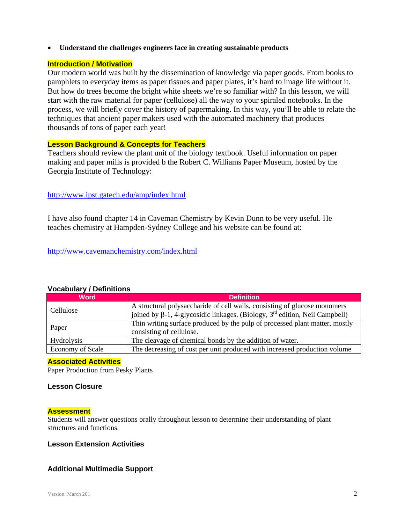**Understand the challenges engineers face in creating sustainable products** 

# **Introduction / Motivation**

Our modern world was built by the dissemination of knowledge via paper goods. From books to pamphlets to everyday items as paper tissues and paper plates, it's hard to image life without it. But how do trees become the bright white sheets we're so familiar with? In this lesson, we will start with the raw material for paper (cellulose) all the way to your spiraled notebooks. In the process, we will briefly cover the history of papermaking. In this way, you'll be able to relate the techniques that ancient paper makers used with the automated machinery that produces thousands of tons of paper each year!

#### **Lesson Background & Concepts for Teachers**

Teachers should review the plant unit of the biology textbook. Useful information on paper making and paper mills is provided b the Robert C. Williams Paper Museum, hosted by the Georgia Institute of Technology:

# http://www.ipst.gatech.edu/amp/index.html

I have also found chapter 14 in Caveman Chemistry by Kevin Dunn to be very useful. He teaches chemistry at Hampden-Sydney College and his website can be found at:

http://www.cavemanchemistry.com/index.html

| <b>Word</b>             | <b>Definition</b>                                                             |
|-------------------------|-------------------------------------------------------------------------------|
| Cellulose               | A structural polysaccharide of cell walls, consisting of glucose monomers     |
|                         | joined by β-1, 4-glycosidic linkages. (Biology, $3rd$ edition, Neil Campbell) |
| Paper                   | Thin writing surface produced by the pulp of processed plant matter, mostly   |
|                         | consisting of cellulose.                                                      |
| <b>Hydrolysis</b>       | The cleavage of chemical bonds by the addition of water.                      |
| <b>Economy of Scale</b> | The decreasing of cost per unit produced with increased production volume     |

# **Vocabulary / Definitions**

#### **Associated Activities**

Paper Production from Pesky Plants

#### **Lesson Closure**

# **Assessment**

Students will answer questions orally throughout lesson to determine their understanding of plant structures and functions.

# **Lesson Extension Activities**

# **Additional Multimedia Support**